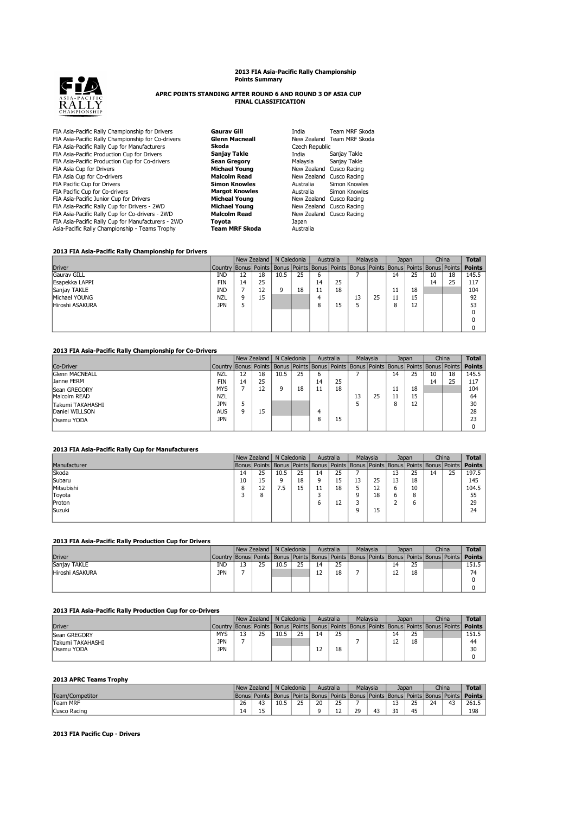# **2013 FIA Asia-Pacific Rally Championship Points Summary**



# **APRC POINTS STANDING AFTER ROUND 6 AND ROUND 3 OF ASIA CUP FINAL CLASSIFICATION**

| FIA Asia-Pacific Rally Championship for Drivers    | Gaurav Gill           | India          | Team MRF Skoda             |
|----------------------------------------------------|-----------------------|----------------|----------------------------|
| FIA Asia-Pacific Rally Championship for Co-drivers | <b>Glenn Macneall</b> |                | New Zealand Team MRF Skoda |
| FIA Asia-Pacific Rally Cup for Manufacturers       | Skoda                 | Czech Republic |                            |
| FIA Asia-Pacific Production Cup for Drivers        | Sanjay Takle          | India          | Sanjay Takle               |
| FIA Asia-Pacific Production Cup for Co-drivers     | <b>Sean Gregory</b>   | Malaysia       | Sanjay Takle               |
| FIA Asia Cup for Drivers                           | <b>Michael Young</b>  | New Zealand    | Cusco Racing               |
| FIA Asia Cup for Co-drivers                        | <b>Malcolm Read</b>   |                | New Zealand Cusco Racing   |
| FIA Pacific Cup for Drivers                        | <b>Simon Knowles</b>  | Australia      | Simon Knowles              |
| FIA Pacific Cup for Co-drivers                     | <b>Margot Knowles</b> | Australia      | Simon Knowles              |
| FIA Asia-Pacific Junior Cup for Drivers            | <b>Micheal Young</b>  |                | New Zealand Cusco Racing   |
| FIA Asia-Pacific Rally Cup for Drivers - 2WD       | <b>Michael Young</b>  |                | New Zealand Cusco Racing   |
| FIA Asia-Pacific Rally Cup for Co-drivers - 2WD    | <b>Malcolm Read</b>   |                | New Zealand Cusco Racing   |
| FIA Asia-Pacific Rally Cup for Manufacturers - 2WD | Tovota                | Japan          |                            |
| Asia-Pacific Rally Championship - Teams Trophy     | Team MRF Skoda        | Australia      |                            |
|                                                    |                       |                |                            |

#### **2013 FIA Asia-Pacific Rally Championship for Drivers**

|                 |                                                                                                               |    | New Zealand | N Caledonia |    | Australia |    | Malaysia |    |    | Japan |    | China | <b>Total</b>  |
|-----------------|---------------------------------------------------------------------------------------------------------------|----|-------------|-------------|----|-----------|----|----------|----|----|-------|----|-------|---------------|
| <b>Driver</b>   | Country   Bonus   Points   Bonus   Points   Bonus   Points   Bonus   Points   Bonus   Points   Bonus   Points |    |             |             |    |           |    |          |    |    |       |    |       | <b>Points</b> |
| Gauray GILL     | IND                                                                                                           | 12 | 18          | 10.5        | 25 | ь         |    |          |    | 14 | 25    | 10 | 18    | 145.5         |
| Esapekka LAPPI  | <b>FIN</b>                                                                                                    | 14 | 25          |             |    | 14        | 25 |          |    |    |       | 14 | 25    | 117           |
| Sanjay TAKLE    | <b>IND</b>                                                                                                    |    | 12          | q           | 18 | 11        | 18 |          |    | 11 | 18    |    |       | 104           |
| Michael YOUNG   | <b>NZL</b>                                                                                                    | Q  | 15          |             |    | 4         |    | 13       | 25 | 11 | 15    |    |       | 92            |
| Hiroshi ASAKURA | <b>JPN</b>                                                                                                    |    |             |             |    | 8         | 15 |          |    | 8  | 12    |    |       | 53            |
|                 |                                                                                                               |    |             |             |    |           |    |          |    |    |       |    |       |               |
|                 |                                                                                                               |    |             |             |    |           |    |          |    |    |       |    |       |               |
|                 |                                                                                                               |    |             |             |    |           |    |          |    |    |       |    |       |               |

#### **2013 FIA Asia-Pacific Rally Championship for Co-Drivers**

|                       |                                                                                                               |    | New Zealand | N Caledonia |    | Australia |    |    | Malavsia | Japan |    |    | China | <b>Total</b>  |
|-----------------------|---------------------------------------------------------------------------------------------------------------|----|-------------|-------------|----|-----------|----|----|----------|-------|----|----|-------|---------------|
| Co-Driver             | Country   Bonus   Points   Bonus   Points   Bonus   Points   Bonus   Points   Bonus   Points   Bonus   Points |    |             |             |    |           |    |    |          |       |    |    |       | <b>Points</b> |
| <b>Glenn MACNEALL</b> | <b>NZL</b>                                                                                                    | 12 | 18          | 10.5        | 25 | ь         |    |    |          | 14    | 25 | 10 | 18    | 145.5         |
| Janne FERM            | FIN                                                                                                           | 14 | 25          |             |    | 14        | 25 |    |          |       |    | 14 | 25    | 117           |
| Sean GREGORY          | <b>MYS</b>                                                                                                    |    | 12          |             | 18 | 11        | 18 |    |          |       | 18 |    |       | 104           |
| Malcolm READ          | <b>NZL</b>                                                                                                    |    |             |             |    |           |    | 13 | 25       |       | 15 |    |       | 64            |
| Takumi TAKAHASHI      | <b>JPN</b>                                                                                                    |    |             |             |    |           |    |    |          |       | 12 |    |       | 30            |
| Daniel WILLSON        | <b>AUS</b>                                                                                                    |    | 15          |             |    | 4         |    |    |          |       |    |    |       | 28            |
| <b>Osamu YODA</b>     | <b>JPN</b>                                                                                                    |    |             |             |    | 8         | 15 |    |          |       |    |    |       | 23            |
|                       |                                                                                                               |    |             |             |    |           |    |    |          |       |    |    |       |               |

# **2013 FIA Asia-Pacific Rally Cup for Manufacturers**

|              |    | New Zealand                                                                                         | N Caledonia |    | Australia |    |   | <b>Malavsia</b> |    | Japan |    | China | <b>Total</b>  |
|--------------|----|-----------------------------------------------------------------------------------------------------|-------------|----|-----------|----|---|-----------------|----|-------|----|-------|---------------|
| Manufacturer |    | Bonus   Points   Bonus   Points   Bonus   Points   Bonus   Points   Bonus   Points   Bonus   Points |             |    |           |    |   |                 |    |       |    |       | <b>Points</b> |
| Skoda        | 14 | 25                                                                                                  | 10.5        | 25 | 14        | 25 |   |                 | 13 | 25    | 14 | 25    | 197.5         |
| Subaru       | 10 | 15                                                                                                  |             | 18 | a         | 15 |   | 25              | 13 | 18    |    |       | 145           |
| Mitsubishi   |    | 12                                                                                                  | 7.5         | 15 | 11        | 18 |   | 12              | 6  | 10    |    |       | 104.5         |
| Toyota       |    | 8                                                                                                   |             |    |           |    | a | 18              | 6  | 8     |    |       | 55            |
| Proton       |    |                                                                                                     |             |    | ь         | 12 |   |                 |    | b     |    |       | 29            |
| Suzuki       |    |                                                                                                     |             |    |           |    | a | 15              |    |       |    |       | 24            |
|              |    |                                                                                                     |             |    |           |    |   |                 |    |       |    |       |               |

# **2013 FIA Asia-Pacific Rally Production Cup for Drivers**

|                 |            |    |      | New Zealand N Caledonia |    | Australia |  | Malaysia<br>Japan |    | China |  | <b>Total</b>                                                                                       |
|-----------------|------------|----|------|-------------------------|----|-----------|--|-------------------|----|-------|--|----------------------------------------------------------------------------------------------------|
| <b>Driver</b>   |            |    |      |                         |    |           |  |                   |    |       |  | Country Bonus Points Bonus Points Bonus Points Bonus Points Bonus Points Bonus Bonus Points Points |
| Sanjay TAKLE    | IND        | 25 | 10.5 | 25                      | 14 | 25        |  |                   | 14 | 25    |  | 151.5                                                                                              |
| Hiroshi ASAKURA | <b>JPN</b> |    |      |                         | 12 | 18        |  |                   |    | 18    |  | 74                                                                                                 |
|                 |            |    |      |                         |    |           |  |                   |    |       |  |                                                                                                    |
|                 |            |    |      |                         |    |           |  |                   |    |       |  |                                                                                                    |

#### **2013 FIA Asia-Pacific Rally Production Cup for co-Drivers**

|                   |            | New Zealand N Caledonia |      |    |          | Australia |  | Malaysia |    | Japan |  | China |                                                                                                           |
|-------------------|------------|-------------------------|------|----|----------|-----------|--|----------|----|-------|--|-------|-----------------------------------------------------------------------------------------------------------|
| <b>Driver</b>     |            |                         |      |    |          |           |  |          |    |       |  |       | Country Bonus Points Bonus Points Bonus Points Bonus Points Bonus Points Bonus Points Bonus Points Points |
| Sean GREGORY      | MYS        | 25                      | 10.5 | 25 | 14       | 25        |  |          | 14 | 25    |  |       | 151.5                                                                                                     |
| Takumi TAKAHASHI  | <b>JPN</b> |                         |      |    |          |           |  |          |    | 18    |  |       | 44                                                                                                        |
| <b>Osamu YODA</b> | <b>JPN</b> |                         |      |    | ר ו<br>ᅭ | 18        |  |          |    |       |  |       | 30                                                                                                        |
|                   |            |                         |      |    |          |           |  |          |    |       |  |       |                                                                                                           |

#### **2013 APRC Teams Trophy**

|                 | New Zealand |                     | N Caledonia                                                                                            |        | Australia |         |    | Malavsia |                           | Japan     |    | China  |               |
|-----------------|-------------|---------------------|--------------------------------------------------------------------------------------------------------|--------|-----------|---------|----|----------|---------------------------|-----------|----|--------|---------------|
| Team/Competitor |             |                     | [  Bonus   Points   Bonus   Points   Bonus   Points   Bonus   Points   Bonus   Points   Bonus   Points |        |           |         |    |          |                           |           |    |        | <b>Points</b> |
| Team MRF        | 26          | 47<br>т.,           | 10.5                                                                                                   | $\sim$ | 20        | ว⊏<br>ت |    |          | $\ddot{\phantom{1}}$<br>∸ | つら<br>ت ک | 24 | 47<br> | 261.5         |
| Cusco Racing    | 14          | $\overline{ }$<br>∸ |                                                                                                        |        |           | ᆠ       | 29 | 43<br>   | <b>.</b><br>ـ ر           | 45        |    |        | 198           |

# **2013 FIA Pacific Cup - Drivers**